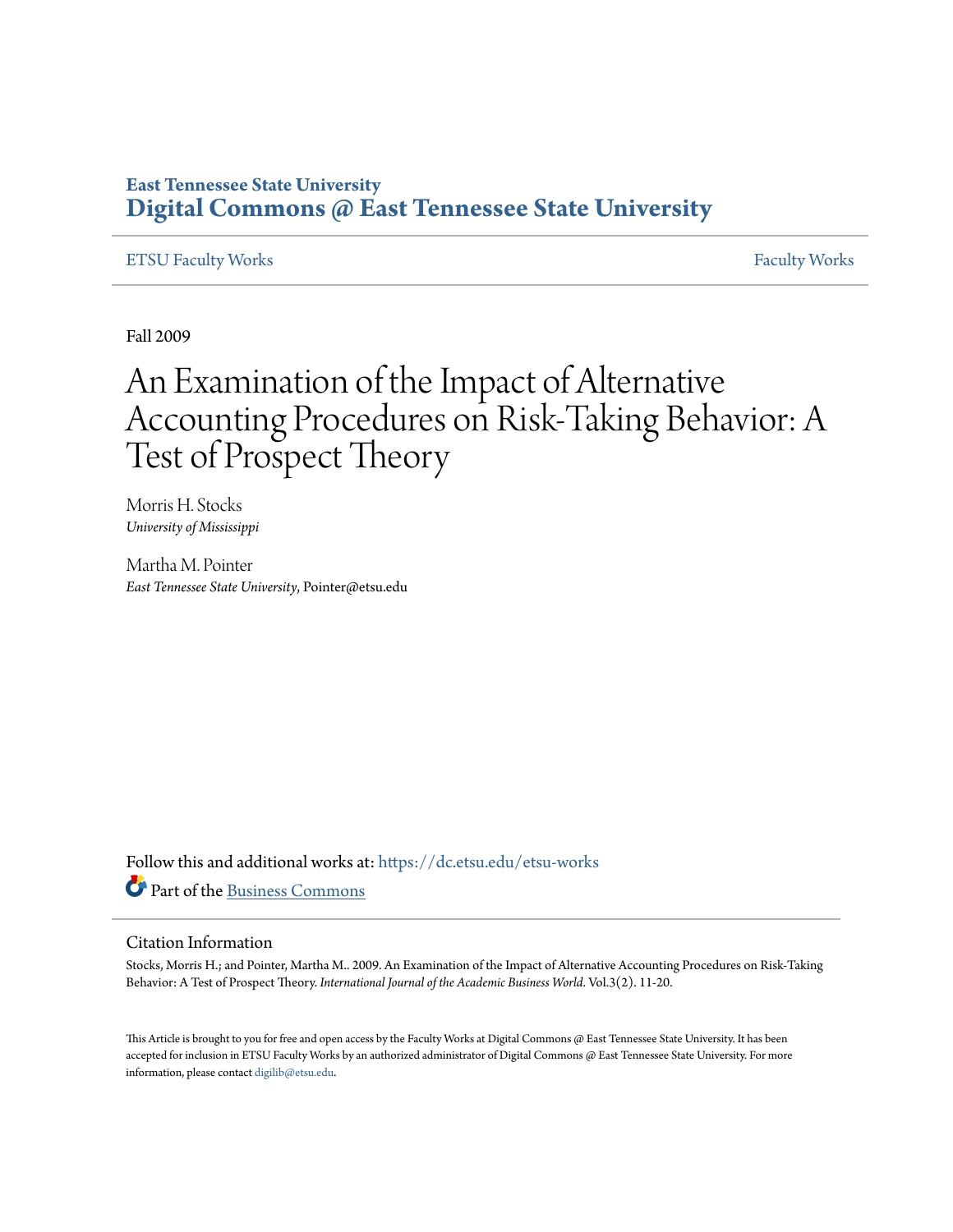## **East Tennessee State University [Digital Commons @ East Tennessee State University](https://dc.etsu.edu?utm_source=dc.etsu.edu%2Fetsu-works%2F2988&utm_medium=PDF&utm_campaign=PDFCoverPages)**

## [ETSU Faculty Works](https://dc.etsu.edu/etsu-works?utm_source=dc.etsu.edu%2Fetsu-works%2F2988&utm_medium=PDF&utm_campaign=PDFCoverPages) [Faculty Works](https://dc.etsu.edu/faculty-works?utm_source=dc.etsu.edu%2Fetsu-works%2F2988&utm_medium=PDF&utm_campaign=PDFCoverPages)

Fall 2009

# An Examination of the Impact of Alternative Accounting Procedures on Risk-Taking Behavior: A Test of Prospect Theory

Morris H. Stocks *University of Mississippi*

Martha M. Pointer *East Tennessee State University*, Pointer@etsu.edu

Follow this and additional works at: [https://dc.etsu.edu/etsu-works](https://dc.etsu.edu/etsu-works?utm_source=dc.etsu.edu%2Fetsu-works%2F2988&utm_medium=PDF&utm_campaign=PDFCoverPages) Part of the [Business Commons](http://network.bepress.com/hgg/discipline/622?utm_source=dc.etsu.edu%2Fetsu-works%2F2988&utm_medium=PDF&utm_campaign=PDFCoverPages)

### Citation Information

Stocks, Morris H.; and Pointer, Martha M.. 2009. An Examination of the Impact of Alternative Accounting Procedures on Risk-Taking Behavior: A Test of Prospect Theory. *International Journal of the Academic Business World*. Vol.3(2). 11-20.

This Article is brought to you for free and open access by the Faculty Works at Digital Commons @ East Tennessee State University. It has been accepted for inclusion in ETSU Faculty Works by an authorized administrator of Digital Commons @ East Tennessee State University. For more information, please contact [digilib@etsu.edu.](mailto:digilib@etsu.edu)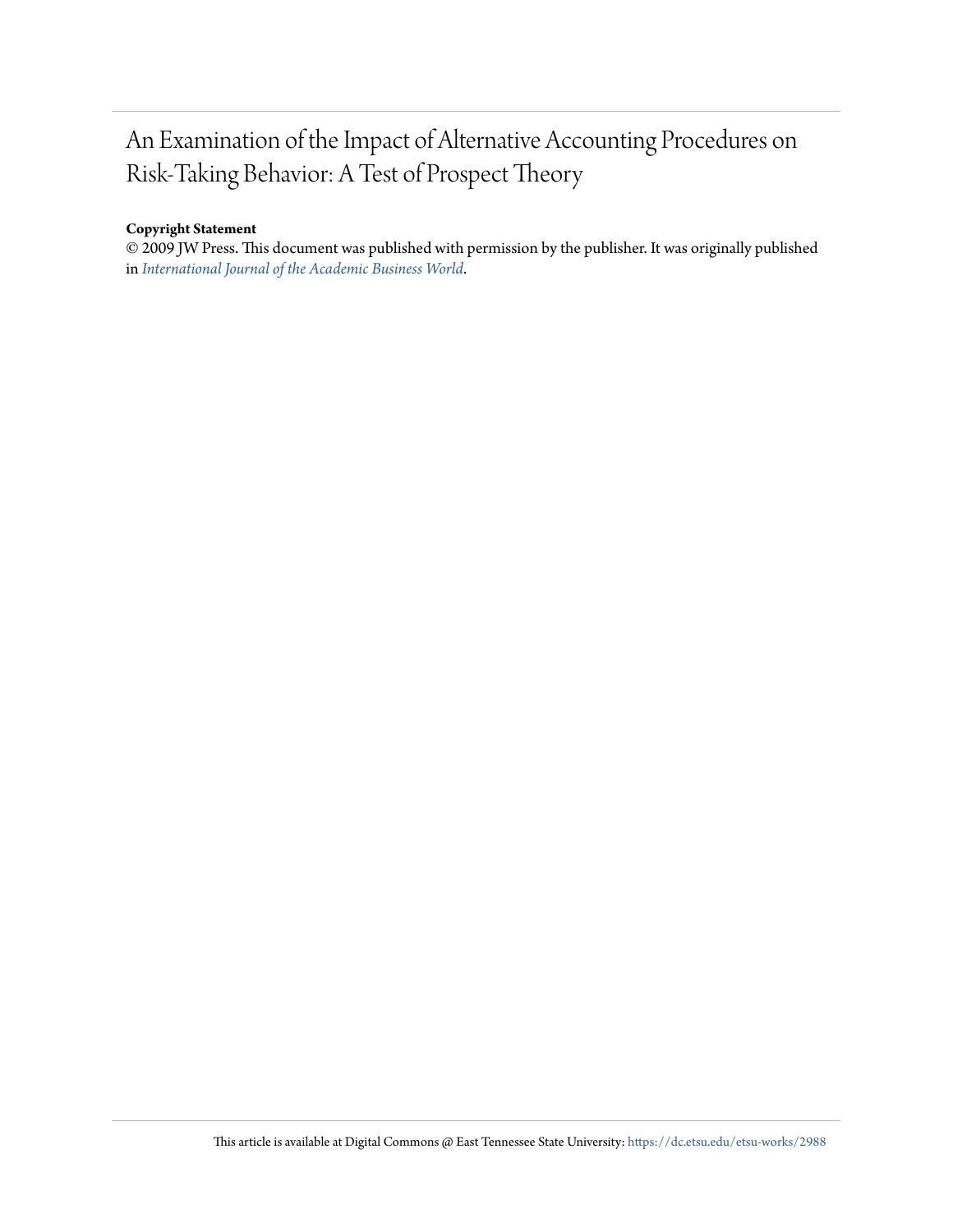## An Examination of the Impact of Alternative Accounting Procedures on Risk-Taking Behavior: A Test of Prospect Theory

## **Copyright Statement**

© 2009 JW Press. This document was published with permission by the publisher. It was originally published in *[International Journal of the Academic Business World](http://jwpress.com/IJABW/IJABW.htm)*.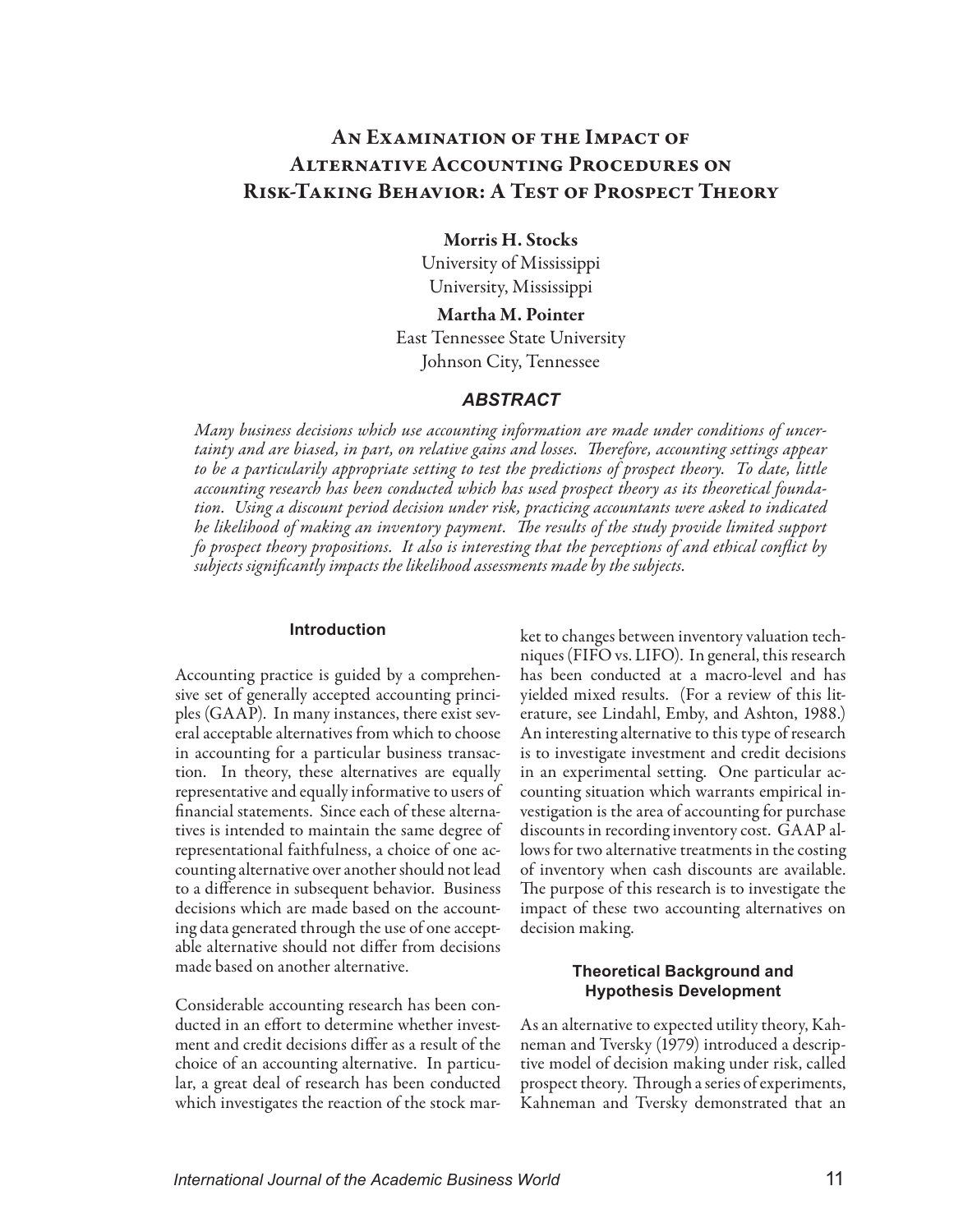## An Examination of the Impact of Alternative Accounting Procedures on Risk-Taking Behavior: A Test of Prospect Theory

## Morris H. Stocks

University of Mississippi University, Mississippi

Martha M. Pointer East Tennessee State University Johnson City, Tennessee

## *ABSTRACT*

*Many business decisions which use accounting information are made under conditions of uncertainty and are biased, in part, on relative gains and losses. Therefore, accounting settings appear to be a particularily appropriate setting to test the predictions of prospect theory. To date, little accounting research has been conducted which has used prospect theory as its theoretical foundation. Using a discount period decision under risk, practicing accountants were asked to indicated he likelihood of making an inventory payment. The results of the study provide limited support fo prospect theory propositions. It also is interesting that the perceptions of and ethical conflict by subjects significantly impacts the likelihood assessments made by the subjects.*

## **Introduction**

Accounting practice is guided by a comprehensive set of generally accepted accounting principles (GAAP). In many instances, there exist several acceptable alternatives from which to choose in accounting for a particular business transaction. In theory, these alternatives are equally representative and equally informative to users of financial statements. Since each of these alternatives is intended to maintain the same degree of representational faithfulness, a choice of one accounting alternative over another should not lead to a difference in subsequent behavior. Business decisions which are made based on the accounting data generated through the use of one acceptable alternative should not differ from decisions made based on another alternative.

Considerable accounting research has been conducted in an effort to determine whether investment and credit decisions differ as a result of the choice of an accounting alternative. In particular, a great deal of research has been conducted which investigates the reaction of the stock market to changes between inventory valuation techniques (FIFO vs. LIFO). In general, this research has been conducted at a macro-level and has yielded mixed results. (For a review of this literature, see Lindahl, Emby, and Ashton, 1988.) An interesting alternative to this type of research is to investigate investment and credit decisions in an experimental setting. One particular accounting situation which warrants empirical investigation is the area of accounting for purchase discounts in recording inventory cost. GAAP allows for two alternative treatments in the costing of inventory when cash discounts are available. The purpose of this research is to investigate the impact of these two accounting alternatives on decision making.

## **Theoretical Background and Hypothesis Development**

As an alternative to expected utility theory, Kahneman and Tversky (1979) introduced a descriptive model of decision making under risk, called prospect theory. Through a series of experiments, Kahneman and Tversky demonstrated that an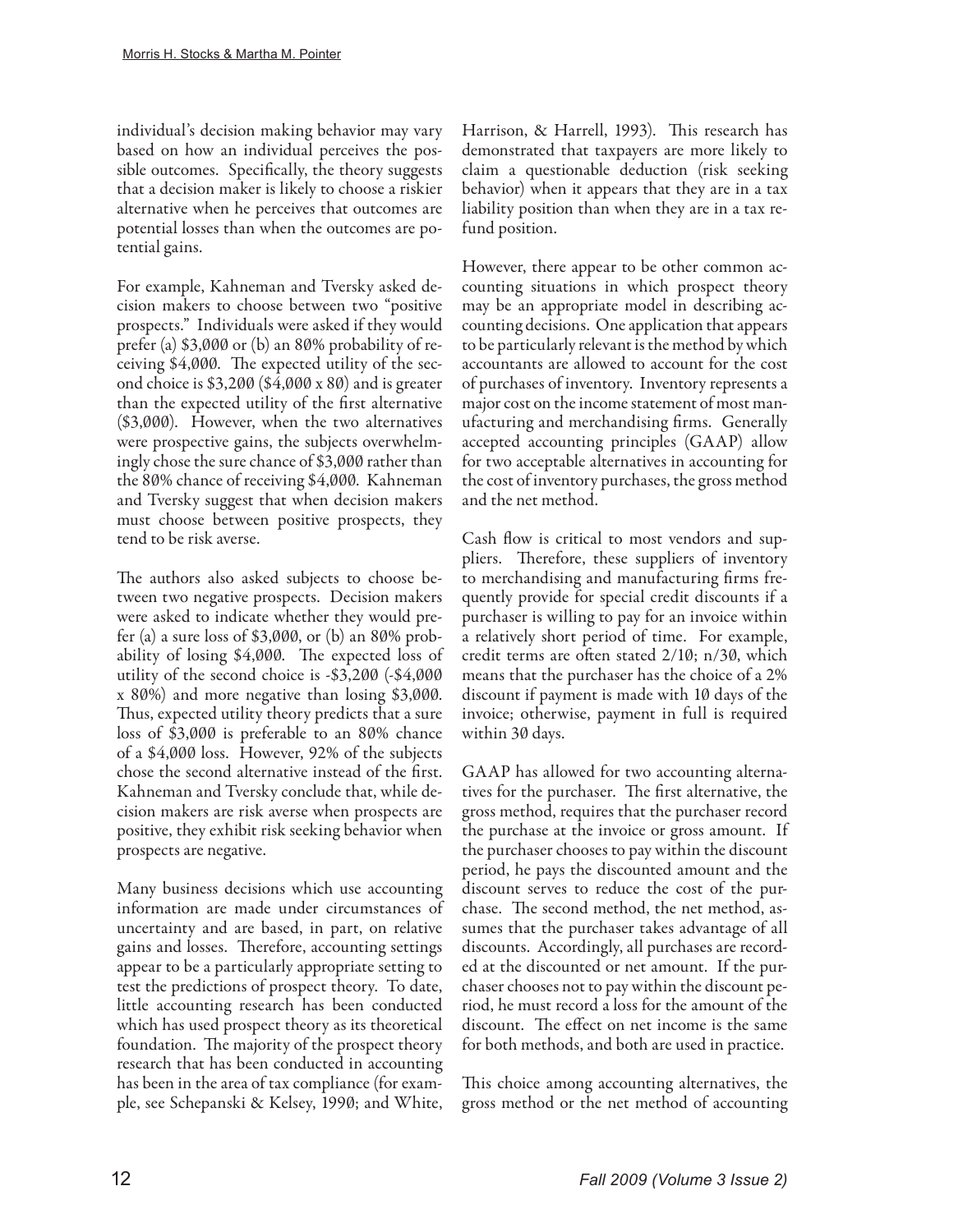individual's decision making behavior may vary based on how an individual perceives the possible outcomes. Specifically, the theory suggests that a decision maker is likely to choose a riskier alternative when he perceives that outcomes are potential losses than when the outcomes are potential gains.

For example, Kahneman and Tversky asked decision makers to choose between two "positive prospects." Individuals were asked if they would prefer (a) \$3,000 or (b) an 80% probability of receiving \$4,000. The expected utility of the second choice is \$3,200 (\$4,000 x 80) and is greater than the expected utility of the first alternative (\$3,000). However, when the two alternatives were prospective gains, the subjects overwhelmingly chose the sure chance of \$3,000 rather than the 80% chance of receiving \$4,000. Kahneman and Tversky suggest that when decision makers must choose between positive prospects, they tend to be risk averse.

The authors also asked subjects to choose between two negative prospects. Decision makers were asked to indicate whether they would prefer (a) a sure loss of \$3,000, or (b) an 80% probability of losing \$4,000. The expected loss of utility of the second choice is -\$3,200 (-\$4,000 x 80%) and more negative than losing \$3,000. Thus, expected utility theory predicts that a sure loss of \$3,000 is preferable to an 80% chance of a \$4,000 loss. However, 92% of the subjects chose the second alternative instead of the first. Kahneman and Tversky conclude that, while decision makers are risk averse when prospects are positive, they exhibit risk seeking behavior when prospects are negative.

Many business decisions which use accounting information are made under circumstances of uncertainty and are based, in part, on relative gains and losses. Therefore, accounting settings appear to be a particularly appropriate setting to test the predictions of prospect theory. To date, little accounting research has been conducted which has used prospect theory as its theoretical foundation. The majority of the prospect theory research that has been conducted in accounting has been in the area of tax compliance (for example, see Schepanski & Kelsey, 1990; and White,

Harrison, & Harrell, 1993). This research has demonstrated that taxpayers are more likely to claim a questionable deduction (risk seeking behavior) when it appears that they are in a tax liability position than when they are in a tax refund position.

However, there appear to be other common accounting situations in which prospect theory may be an appropriate model in describing accounting decisions. One application that appears to be particularly relevant is the method by which accountants are allowed to account for the cost of purchases of inventory. Inventory represents a major cost on the income statement of most manufacturing and merchandising firms. Generally accepted accounting principles (GAAP) allow for two acceptable alternatives in accounting for the cost of inventory purchases, the gross method and the net method.

Cash flow is critical to most vendors and suppliers. Therefore, these suppliers of inventory to merchandising and manufacturing firms frequently provide for special credit discounts if a purchaser is willing to pay for an invoice within a relatively short period of time. For example, credit terms are often stated 2/10; n/30, which means that the purchaser has the choice of a 2% discount if payment is made with 10 days of the invoice; otherwise, payment in full is required within 30 days.

GAAP has allowed for two accounting alternatives for the purchaser. The first alternative, the gross method, requires that the purchaser record the purchase at the invoice or gross amount. If the purchaser chooses to pay within the discount period, he pays the discounted amount and the discount serves to reduce the cost of the purchase. The second method, the net method, assumes that the purchaser takes advantage of all discounts. Accordingly, all purchases are recorded at the discounted or net amount. If the purchaser chooses not to pay within the discount period, he must record a loss for the amount of the discount. The effect on net income is the same for both methods, and both are used in practice.

This choice among accounting alternatives, the gross method or the net method of accounting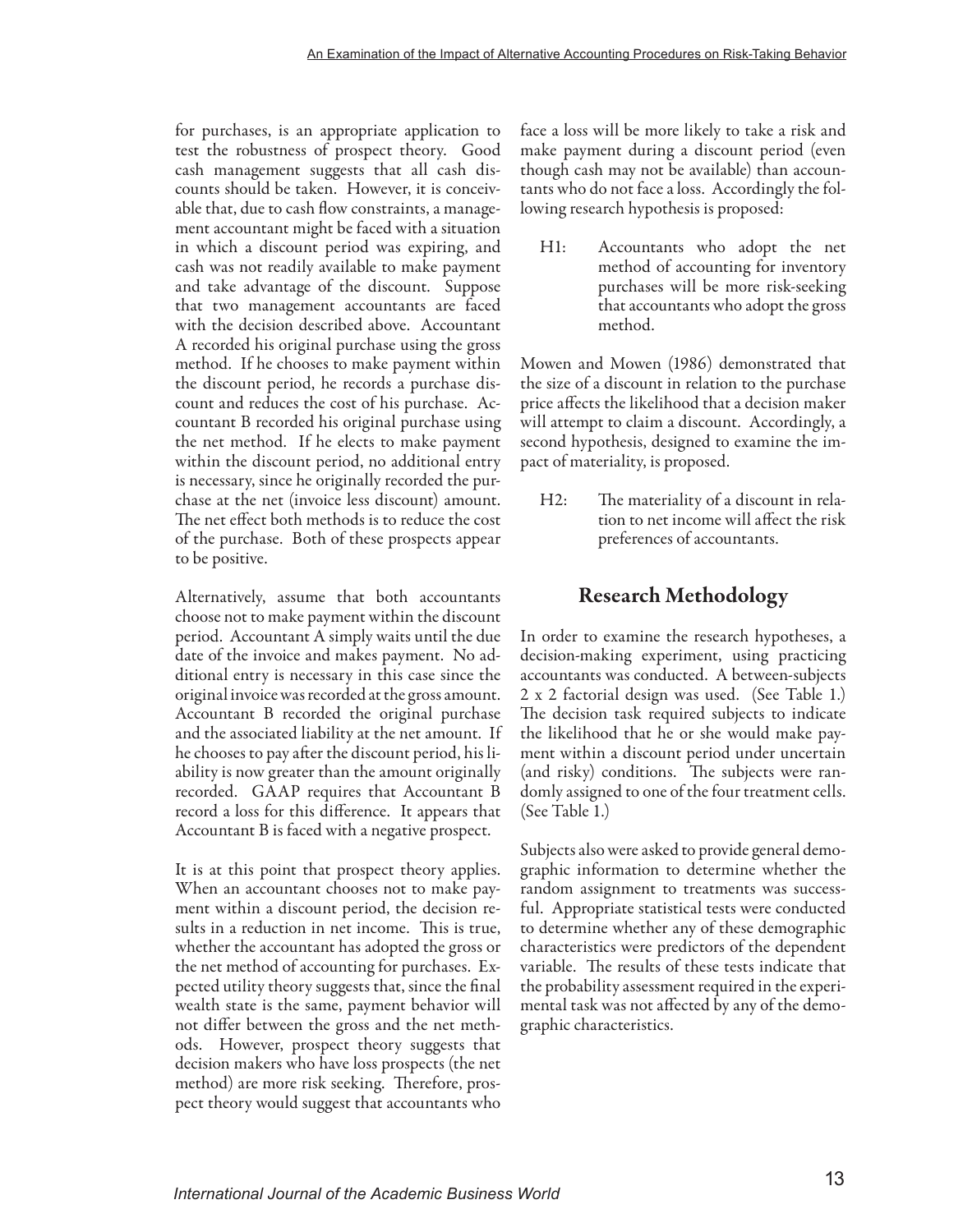for purchases, is an appropriate application to test the robustness of prospect theory. Good cash management suggests that all cash discounts should be taken. However, it is conceivable that, due to cash flow constraints, a management accountant might be faced with a situation in which a discount period was expiring, and cash was not readily available to make payment and take advantage of the discount. Suppose that two management accountants are faced with the decision described above. Accountant A recorded his original purchase using the gross method. If he chooses to make payment within the discount period, he records a purchase discount and reduces the cost of his purchase. Accountant B recorded his original purchase using the net method. If he elects to make payment within the discount period, no additional entry is necessary, since he originally recorded the purchase at the net (invoice less discount) amount. The net effect both methods is to reduce the cost of the purchase. Both of these prospects appear to be positive.

Alternatively, assume that both accountants choose not to make payment within the discount period. Accountant A simply waits until the due date of the invoice and makes payment. No additional entry is necessary in this case since the original invoice was recorded at the gross amount. Accountant B recorded the original purchase and the associated liability at the net amount. If he chooses to pay after the discount period, his liability is now greater than the amount originally recorded. GAAP requires that Accountant B record a loss for this difference. It appears that Accountant B is faced with a negative prospect.

It is at this point that prospect theory applies. When an accountant chooses not to make payment within a discount period, the decision results in a reduction in net income. This is true, whether the accountant has adopted the gross or the net method of accounting for purchases. Expected utility theory suggests that, since the final wealth state is the same, payment behavior will not differ between the gross and the net methods. However, prospect theory suggests that decision makers who have loss prospects (the net method) are more risk seeking. Therefore, prospect theory would suggest that accountants who

face a loss will be more likely to take a risk and make payment during a discount period (even though cash may not be available) than accountants who do not face a loss. Accordingly the following research hypothesis is proposed:

H1: Accountants who adopt the net method of accounting for inventory purchases will be more risk-seeking that accountants who adopt the gross method.

Mowen and Mowen (1986) demonstrated that the size of a discount in relation to the purchase price affects the likelihood that a decision maker will attempt to claim a discount. Accordingly, a second hypothesis, designed to examine the impact of materiality, is proposed.

H2: The materiality of a discount in relation to net income will affect the risk preferences of accountants.

## Research Methodology

In order to examine the research hypotheses, a decision-making experiment, using practicing accountants was conducted. A between-subjects 2 x 2 factorial design was used. (See Table 1.) The decision task required subjects to indicate the likelihood that he or she would make payment within a discount period under uncertain (and risky) conditions. The subjects were randomly assigned to one of the four treatment cells. (See Table 1.)

Subjects also were asked to provide general demographic information to determine whether the random assignment to treatments was successful. Appropriate statistical tests were conducted to determine whether any of these demographic characteristics were predictors of the dependent variable. The results of these tests indicate that the probability assessment required in the experimental task was not affected by any of the demographic characteristics.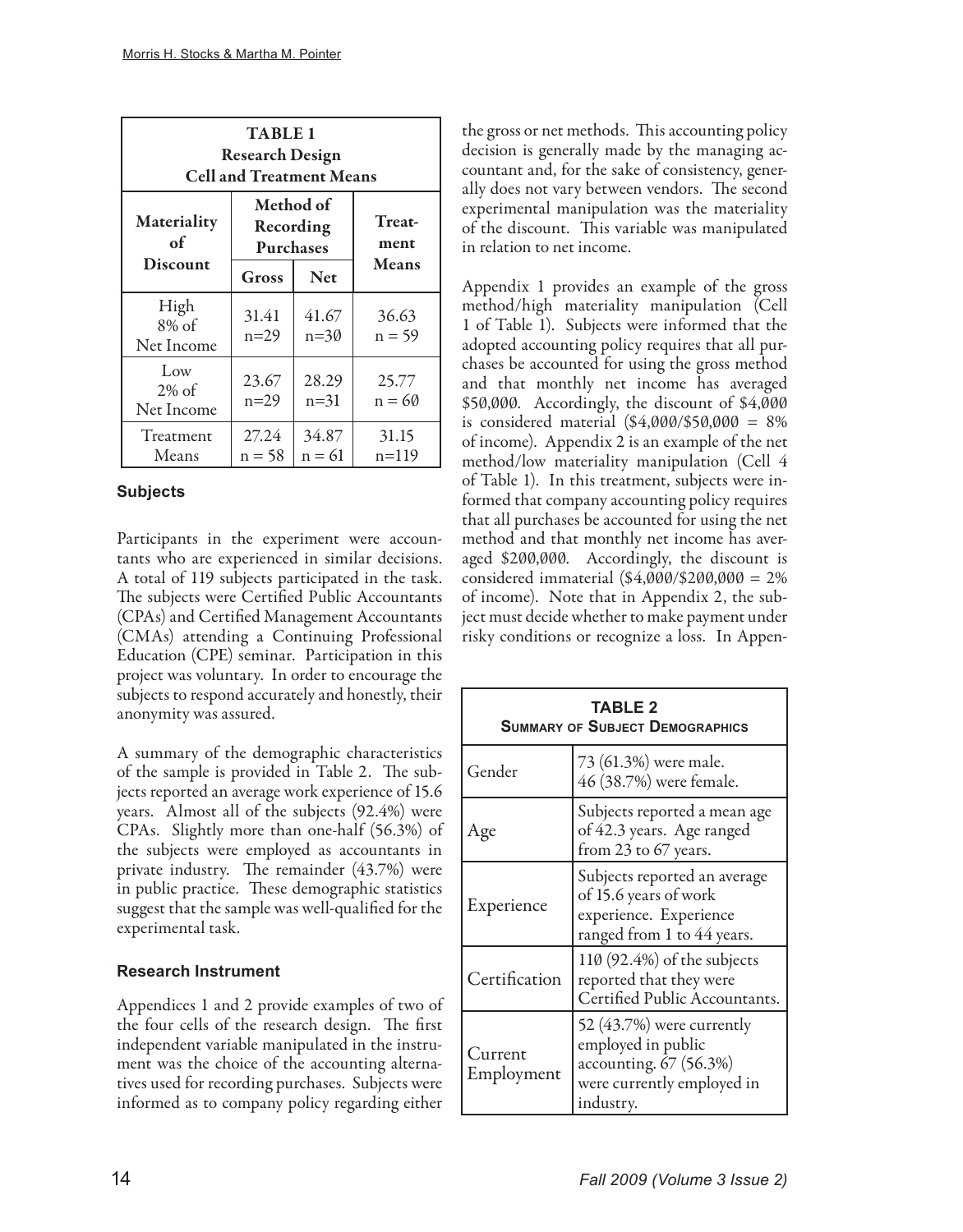| <b>TABLE 1</b><br><b>Research Design</b><br><b>Cell and Treatment Means</b>              |                   |                   |                   |  |  |  |  |  |
|------------------------------------------------------------------------------------------|-------------------|-------------------|-------------------|--|--|--|--|--|
| Method of<br>Materiality<br><b>Treat-</b><br>Recording<br>of<br>ment<br><b>Purchases</b> |                   |                   |                   |  |  |  |  |  |
| <b>Discount</b>                                                                          | Gross             | <b>Net</b>        | <b>Means</b>      |  |  |  |  |  |
| High<br>$8\%$ of<br>Net Income                                                           | 31.41<br>$n=29$   | 41.67<br>$n = 30$ | 36.63<br>$n = 59$ |  |  |  |  |  |
| Low<br>$2\%$ of<br>Net Income                                                            | 23.67<br>$n=29$   | 28.29<br>$n=31$   | 25.77<br>$n = 60$ |  |  |  |  |  |
| Treatment<br>Means                                                                       | 27.24<br>$n = 58$ | 34.87<br>$n = 61$ | 31.15<br>n=119    |  |  |  |  |  |

## **Subjects**

Participants in the experiment were accountants who are experienced in similar decisions. A total of 119 subjects participated in the task. The subjects were Certified Public Accountants (CPAs) and Certified Management Accountants (CMAs) attending a Continuing Professional Education (CPE) seminar. Participation in this project was voluntary. In order to encourage the subjects to respond accurately and honestly, their anonymity was assured.

A summary of the demographic characteristics of the sample is provided in Table 2. The subjects reported an average work experience of 15.6 years. Almost all of the subjects (92.4%) were CPAs. Slightly more than one-half (56.3%) of the subjects were employed as accountants in private industry. The remainder (43.7%) were in public practice. These demographic statistics suggest that the sample was well-qualified for the experimental task.

## **Research Instrument**

Appendices 1 and 2 provide examples of two of the four cells of the research design. The first independent variable manipulated in the instrument was the choice of the accounting alternatives used for recording purchases. Subjects were informed as to company policy regarding either

the gross or net methods. This accounting policy decision is generally made by the managing accountant and, for the sake of consistency, generally does not vary between vendors. The second experimental manipulation was the materiality of the discount. This variable was manipulated in relation to net income.

Appendix 1 provides an example of the gross method/high materiality manipulation (Cell 1 of Table 1). Subjects were informed that the adopted accounting policy requires that all purchases be accounted for using the gross method and that monthly net income has averaged \$50,000. Accordingly, the discount of \$4,000 is considered material  $(\$4,000/\$50,000 = 8\%$ of income). Appendix 2 is an example of the net method/low materiality manipulation (Cell 4 of Table 1). In this treatment, subjects were informed that company accounting policy requires that all purchases be accounted for using the net method and that monthly net income has averaged \$200,000. Accordingly, the discount is considered immaterial  $(\$4,000/$200,000 = 2\%$ of income). Note that in Appendix 2, the subject must decide whether to make payment under risky conditions or recognize a loss. In Appen-

| <b>TABLE 2</b><br><b>SUMMARY OF SUBJECT DEMOGRAPHICS</b> |                                                                                                                      |  |  |  |  |
|----------------------------------------------------------|----------------------------------------------------------------------------------------------------------------------|--|--|--|--|
| Gender                                                   | 73 (61.3%) were male.<br>46 (38.7%) were female.                                                                     |  |  |  |  |
| Age                                                      | Subjects reported a mean age<br>of 42.3 years. Age ranged<br>from 23 to 67 years.                                    |  |  |  |  |
| Experience                                               | Subjects reported an average<br>of 15.6 years of work<br>experience. Experience<br>ranged from 1 to 44 years.        |  |  |  |  |
| Certification                                            | 110 (92.4%) of the subjects<br>reported that they were<br>Certified Public Accountants.                              |  |  |  |  |
| Current<br>Employment                                    | 52 (43.7%) were currently<br>employed in public<br>accounting. 67 (56.3%)<br>were currently employed in<br>industry. |  |  |  |  |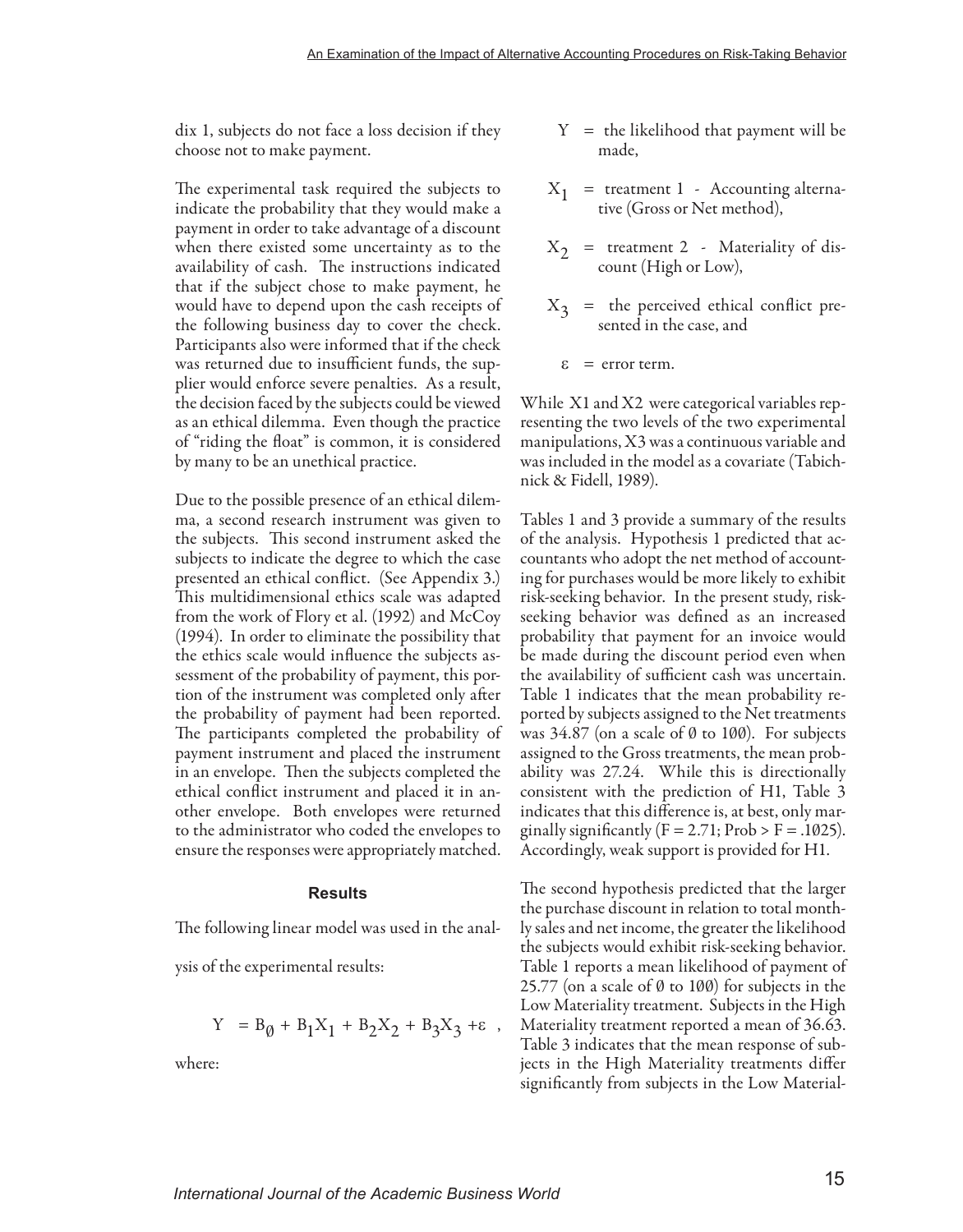dix 1, subjects do not face a loss decision if they choose not to make payment.

The experimental task required the subjects to indicate the probability that they would make a payment in order to take advantage of a discount when there existed some uncertainty as to the availability of cash. The instructions indicated that if the subject chose to make payment, he would have to depend upon the cash receipts of the following business day to cover the check. Participants also were informed that if the check was returned due to insufficient funds, the supplier would enforce severe penalties. As a result, the decision faced by the subjects could be viewed as an ethical dilemma. Even though the practice of "riding the float" is common, it is considered by many to be an unethical practice.

Due to the possible presence of an ethical dilemma, a second research instrument was given to the subjects. This second instrument asked the subjects to indicate the degree to which the case presented an ethical conflict. (See Appendix 3.) This multidimensional ethics scale was adapted from the work of Flory et al. (1992) and McCoy (1994). In order to eliminate the possibility that the ethics scale would influence the subjects assessment of the probability of payment, this portion of the instrument was completed only after the probability of payment had been reported. The participants completed the probability of payment instrument and placed the instrument in an envelope. Then the subjects completed the ethical conflict instrument and placed it in another envelope. Both envelopes were returned to the administrator who coded the envelopes to ensure the responses were appropriately matched.

#### **Results**

The following linear model was used in the anal-

ysis of the experimental results:

$$
Y = B_{\emptyset} + B_1 X_1 + B_2 X_2 + B_3 X_3 + \varepsilon \ ,
$$

where:

- $Y =$  the likelihood that payment will be made,
- $X_1$  = treatment 1 Accounting alternative (Gross or Net method),
- $X_2$  = treatment 2 Materiality of discount (High or Low),
- $X_2$  = the perceived ethical conflict presented in the case, and
	- $\epsilon$  = error term.

While X1 and X2 were categorical variables representing the two levels of the two experimental manipulations, X3 was a continuous variable and was included in the model as a covariate (Tabichnick & Fidell, 1989).

Tables 1 and 3 provide a summary of the results of the analysis. Hypothesis 1 predicted that accountants who adopt the net method of accounting for purchases would be more likely to exhibit risk-seeking behavior. In the present study, riskseeking behavior was defined as an increased probability that payment for an invoice would be made during the discount period even when the availability of sufficient cash was uncertain. Table 1 indicates that the mean probability reported by subjects assigned to the Net treatments was  $34.87$  (on a scale of  $\emptyset$  to 100). For subjects assigned to the Gross treatments, the mean probability was 27.24. While this is directionally consistent with the prediction of H1, Table 3 indicates that this difference is, at best, only marginally significantly  $(F = 2.71; Prob > F = .1025)$ . Accordingly, weak support is provided for H1.

The second hypothesis predicted that the larger the purchase discount in relation to total monthly sales and net income, the greater the likelihood the subjects would exhibit risk-seeking behavior. Table 1 reports a mean likelihood of payment of 25.77 (on a scale of  $\emptyset$  to 100) for subjects in the Low Materiality treatment. Subjects in the High Materiality treatment reported a mean of 36.63. Table 3 indicates that the mean response of subjects in the High Materiality treatments differ significantly from subjects in the Low Material-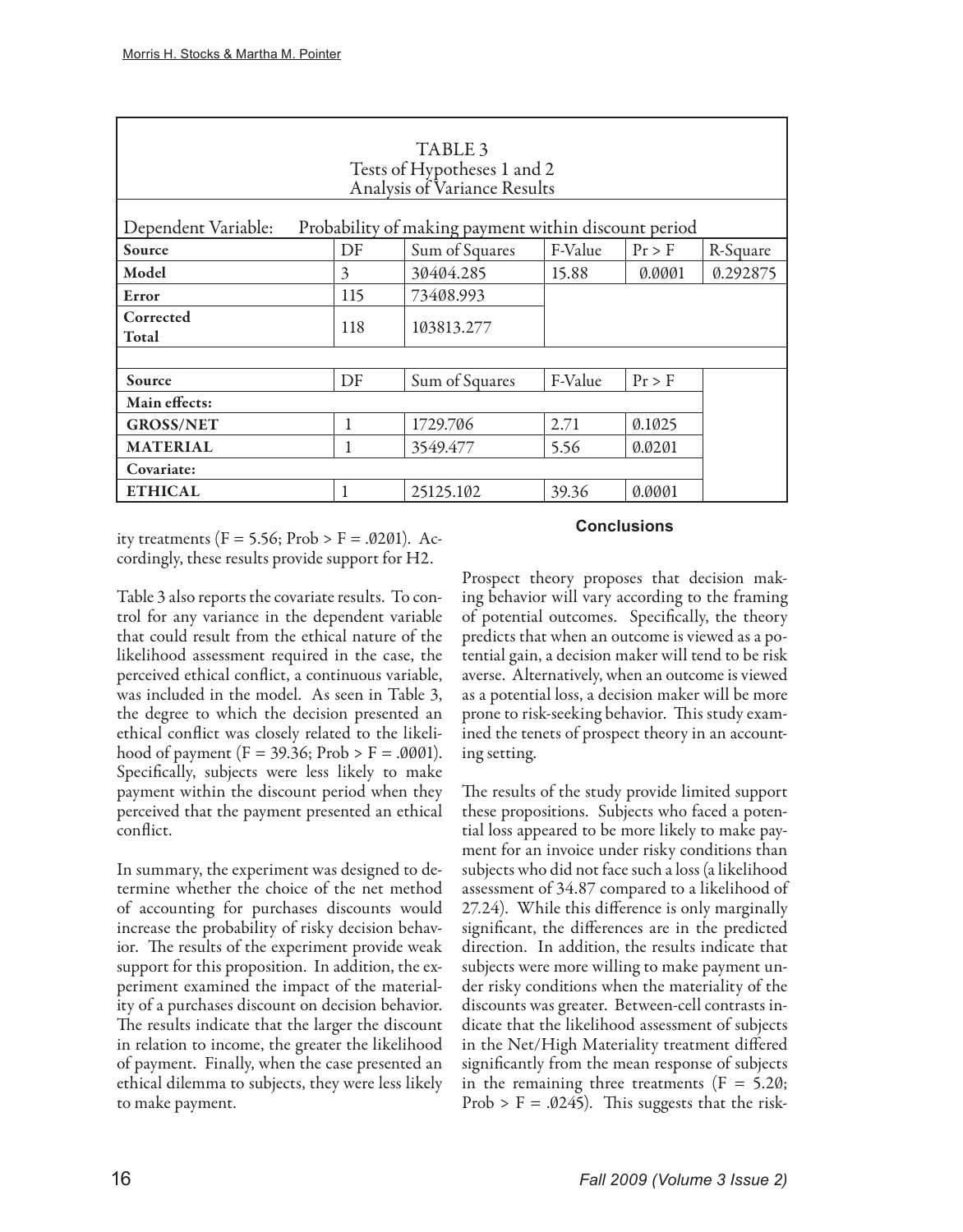| TABLE 3<br>Tests of Hypotheses 1 and 2<br>Analysis of Variance Results |                  |                                                      |         |        |          |  |  |  |  |
|------------------------------------------------------------------------|------------------|------------------------------------------------------|---------|--------|----------|--|--|--|--|
| Dependent Variable:                                                    |                  | Probability of making payment within discount period |         |        |          |  |  |  |  |
| Source                                                                 | DF               | Sum of Squares                                       | F-Value | Pr > F | R-Square |  |  |  |  |
| Model                                                                  | 3                | 30404.285                                            | 15.88   | 0.0001 | 0.292875 |  |  |  |  |
| Error                                                                  | 115<br>73408.993 |                                                      |         |        |          |  |  |  |  |
| Corrected<br>118<br>103813.277<br>Total                                |                  |                                                      |         |        |          |  |  |  |  |
|                                                                        |                  |                                                      |         |        |          |  |  |  |  |
| Source                                                                 | DF               | Sum of Squares                                       | F-Value | Pr > F |          |  |  |  |  |
| Main effects:                                                          |                  |                                                      |         |        |          |  |  |  |  |
| <b>GROSS/NET</b>                                                       | 1                | 1729.706                                             | 2.71    | 0.1025 |          |  |  |  |  |
| <b>MATERIAL</b>                                                        | 1                | 3549.477<br>5.56                                     |         | 0.0201 |          |  |  |  |  |
| Covariate:                                                             |                  |                                                      |         |        |          |  |  |  |  |
| <b>ETHICAL</b><br>39.36<br>25125.102<br>0.0001                         |                  |                                                      |         |        |          |  |  |  |  |

ity treatments ( $F = 5.56$ ; Prob >  $F = .0201$ ). Accordingly, these results provide support for H2.

## Table 3 also reports the covariate results. To control for any variance in the dependent variable that could result from the ethical nature of the likelihood assessment required in the case, the perceived ethical conflict, a continuous variable, was included in the model. As seen in Table 3, the degree to which the decision presented an ethical conflict was closely related to the likelihood of payment ( $F = 39.36$ ; Prob > F = .0001). Specifically, subjects were less likely to make payment within the discount period when they perceived that the payment presented an ethical conflict.

In summary, the experiment was designed to determine whether the choice of the net method of accounting for purchases discounts would increase the probability of risky decision behavior. The results of the experiment provide weak support for this proposition. In addition, the experiment examined the impact of the materiality of a purchases discount on decision behavior. The results indicate that the larger the discount in relation to income, the greater the likelihood of payment. Finally, when the case presented an ethical dilemma to subjects, they were less likely to make payment.

## **Conclusions**

Prospect theory proposes that decision making behavior will vary according to the framing of potential outcomes. Specifically, the theory predicts that when an outcome is viewed as a potential gain, a decision maker will tend to be risk averse. Alternatively, when an outcome is viewed as a potential loss, a decision maker will be more prone to risk-seeking behavior. This study examined the tenets of prospect theory in an accounting setting.

The results of the study provide limited support these propositions. Subjects who faced a potential loss appeared to be more likely to make payment for an invoice under risky conditions than subjects who did not face such a loss (a likelihood assessment of 34.87 compared to a likelihood of 27.24). While this difference is only marginally significant, the differences are in the predicted direction. In addition, the results indicate that subjects were more willing to make payment under risky conditions when the materiality of the discounts was greater. Between-cell contrasts indicate that the likelihood assessment of subjects in the Net/High Materiality treatment differed significantly from the mean response of subjects in the remaining three treatments  $(F = 5.20;$ Prob > F =  $.0245$ ). This suggests that the risk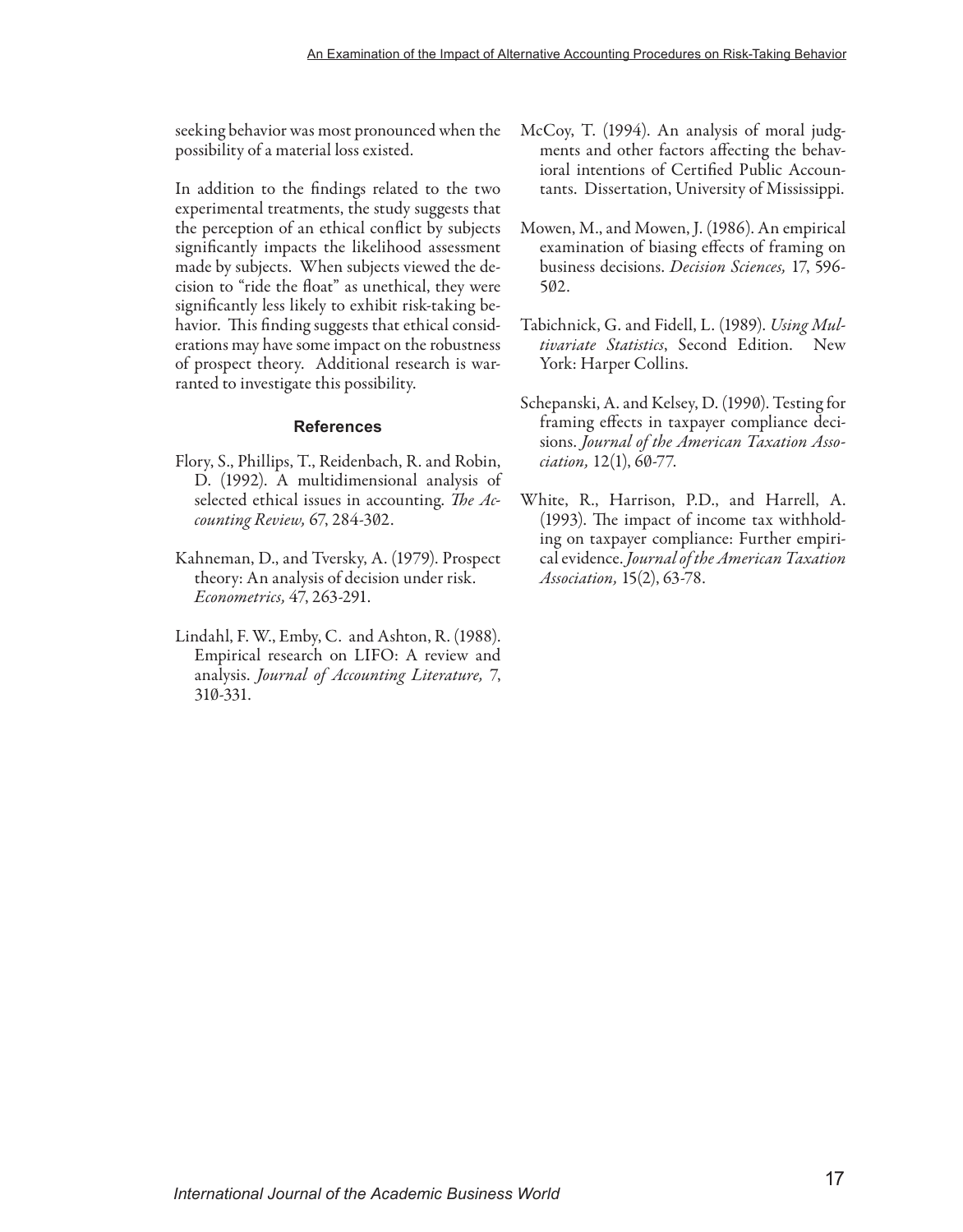seeking behavior was most pronounced when the possibility of a material loss existed.

In addition to the findings related to the two experimental treatments, the study suggests that the perception of an ethical conflict by subjects significantly impacts the likelihood assessment made by subjects. When subjects viewed the decision to "ride the float" as unethical, they were significantly less likely to exhibit risk-taking behavior. This finding suggests that ethical considerations may have some impact on the robustness of prospect theory. Additional research is warranted to investigate this possibility.

#### **References**

- Flory, S., Phillips, T., Reidenbach, R. and Robin, D. (1992). A multidimensional analysis of selected ethical issues in accounting. *The Accounting Review,* 67, 284-302.
- Kahneman, D., and Tversky, A. (1979). Prospect theory: An analysis of decision under risk. *Econometrics,* 47, 263-291.
- Lindahl, F. W., Emby, C. and Ashton, R. (1988). Empirical research on LIFO: A review and analysis. *Journal of Accounting Literature,* 7, 310-331.
- McCoy, T. (1994). An analysis of moral judgments and other factors affecting the behavioral intentions of Certified Public Accountants. Dissertation, University of Mississippi.
- Mowen, M., and Mowen, J. (1986). An empirical examination of biasing effects of framing on business decisions. *Decision Sciences,* 17, 596- 502.
- Tabichnick, G. and Fidell, L. (1989). *Using Multivariate Statistics*, Second Edition. New York: Harper Collins.
- Schepanski, A. and Kelsey, D. (1990). Testing for framing effects in taxpayer compliance decisions. *Journal of the American Taxation Association,* 12(1), 60-77.
- White, R., Harrison, P.D., and Harrell, A. (1993). The impact of income tax withholding on taxpayer compliance: Further empirical evidence. *Journal of the American Taxation Association,* 15(2), 63-78.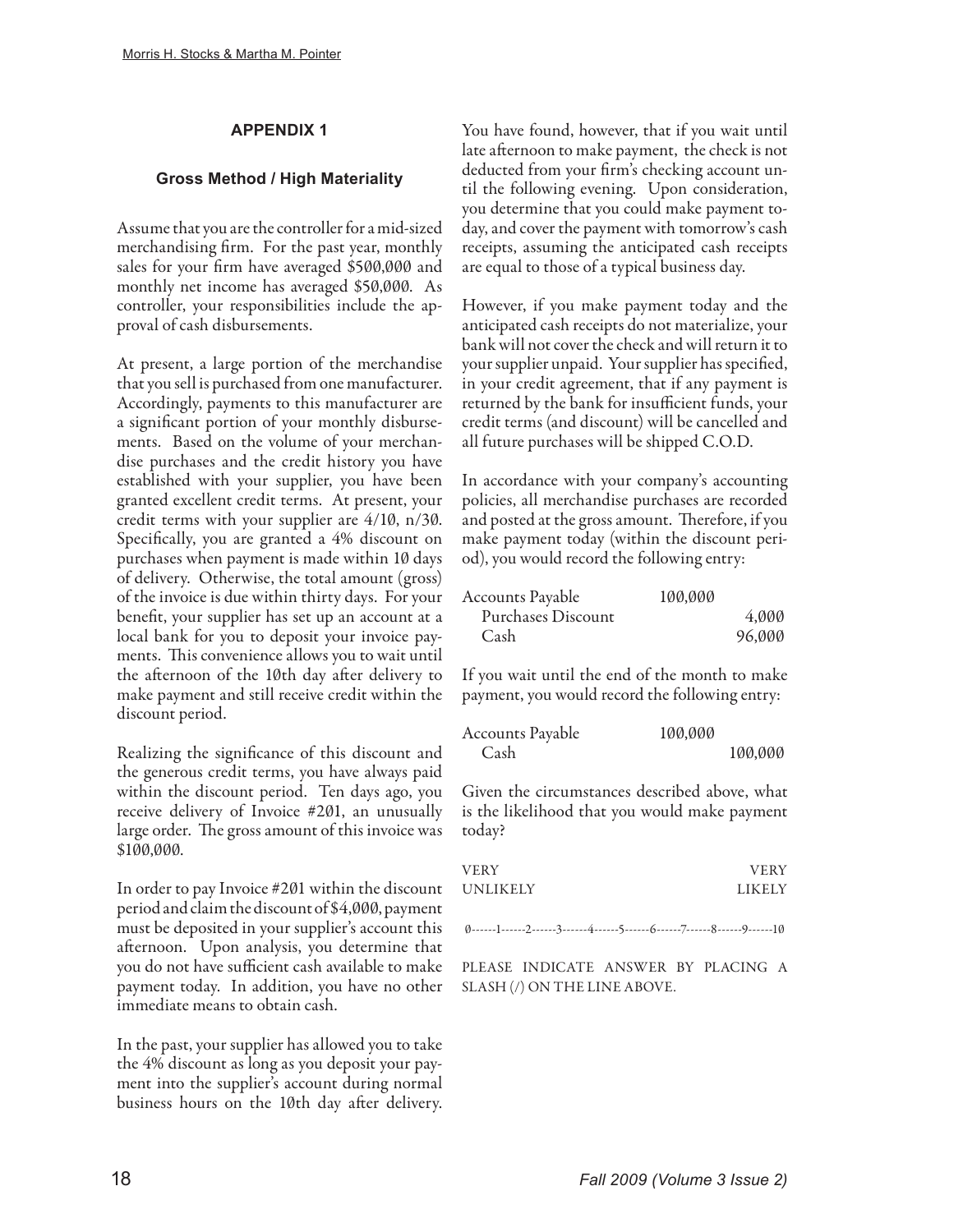## **APPENDIX 1**

## **Gross Method / High Materiality**

Assume that you are the controller for a mid-sized merchandising firm. For the past year, monthly sales for your firm have averaged \$500,000 and monthly net income has averaged \$50,000. As controller, your responsibilities include the approval of cash disbursements.

At present, a large portion of the merchandise that you sell is purchased from one manufacturer. Accordingly, payments to this manufacturer are a significant portion of your monthly disbursements. Based on the volume of your merchandise purchases and the credit history you have established with your supplier, you have been granted excellent credit terms. At present, your credit terms with your supplier are 4/10, n/30. Specifically, you are granted a 4% discount on purchases when payment is made within 10 days of delivery. Otherwise, the total amount (gross) of the invoice is due within thirty days. For your benefit, your supplier has set up an account at a local bank for you to deposit your invoice payments. This convenience allows you to wait until the afternoon of the 10th day after delivery to make payment and still receive credit within the discount period.

Realizing the significance of this discount and the generous credit terms, you have always paid within the discount period. Ten days ago, you receive delivery of Invoice #201, an unusually large order. The gross amount of this invoice was \$100,000.

In order to pay Invoice #201 within the discount period and claim the discount of \$4,000, payment must be deposited in your supplier's account this afternoon. Upon analysis, you determine that you do not have sufficient cash available to make payment today. In addition, you have no other immediate means to obtain cash.

In the past, your supplier has allowed you to take the 4% discount as long as you deposit your payment into the supplier's account during normal business hours on the 10th day after delivery. You have found, however, that if you wait until late afternoon to make payment, the check is not deducted from your firm's checking account until the following evening. Upon consideration, you determine that you could make payment today, and cover the payment with tomorrow's cash receipts, assuming the anticipated cash receipts are equal to those of a typical business day.

However, if you make payment today and the anticipated cash receipts do not materialize, your bank will not cover the check and will return it to your supplier unpaid. Your supplier has specified, in your credit agreement, that if any payment is returned by the bank for insufficient funds, your credit terms (and discount) will be cancelled and all future purchases will be shipped C.O.D.

In accordance with your company's accounting policies, all merchandise purchases are recorded and posted at the gross amount. Therefore, if you make payment today (within the discount period), you would record the following entry:

| Accounts Payable   | 100,000 |        |
|--------------------|---------|--------|
| Purchases Discount |         | 4.000  |
| Cash               |         | 96,000 |

If you wait until the end of the month to make payment, you would record the following entry:

| Accounts Payable | 100,000 |         |
|------------------|---------|---------|
| Cash             |         | 100,000 |

Given the circumstances described above, what is the likelihood that you would make payment today?

| VERY     | <b>VERY</b>   |
|----------|---------------|
| UNLIKELY | <b>LIKELY</b> |

0------1------2------3------4------5------6------7------8------9------10

PLEASE INDICATE ANSWER BY PLACING A SLASH (/) ON THE LINE ABOVE.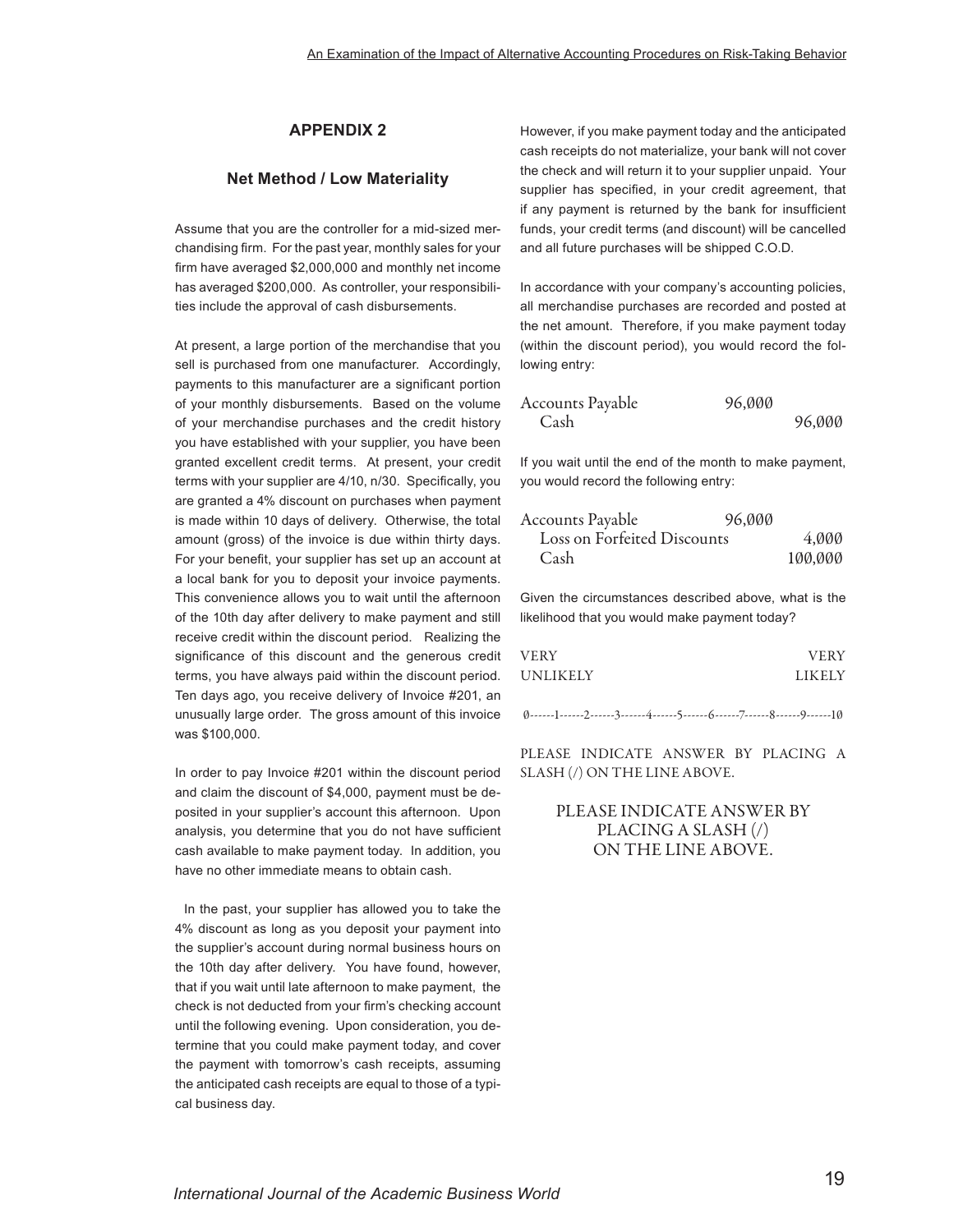## **APPENDIX 2**

### **Net Method / Low Materiality**

Assume that you are the controller for a mid-sized merchandising firm. For the past year, monthly sales for your firm have averaged \$2,000,000 and monthly net income has averaged \$200,000. As controller, your responsibilities include the approval of cash disbursements.

At present, a large portion of the merchandise that you sell is purchased from one manufacturer. Accordingly, payments to this manufacturer are a significant portion of your monthly disbursements. Based on the volume of your merchandise purchases and the credit history you have established with your supplier, you have been granted excellent credit terms. At present, your credit terms with your supplier are 4/10, n/30. Specifically, you are granted a 4% discount on purchases when payment is made within 10 days of delivery. Otherwise, the total amount (gross) of the invoice is due within thirty days. For your benefit, your supplier has set up an account at a local bank for you to deposit your invoice payments. This convenience allows you to wait until the afternoon of the 10th day after delivery to make payment and still receive credit within the discount period. Realizing the significance of this discount and the generous credit terms, you have always paid within the discount period. Ten days ago, you receive delivery of Invoice #201, an unusually large order. The gross amount of this invoice was \$100,000.

In order to pay Invoice #201 within the discount period and claim the discount of \$4,000, payment must be deposited in your supplier's account this afternoon. Upon analysis, you determine that you do not have sufficient cash available to make payment today. In addition, you have no other immediate means to obtain cash.

 In the past, your supplier has allowed you to take the 4% discount as long as you deposit your payment into the supplier's account during normal business hours on the 10th day after delivery. You have found, however, that if you wait until late afternoon to make payment, the check is not deducted from your firm's checking account until the following evening. Upon consideration, you determine that you could make payment today, and cover the payment with tomorrow's cash receipts, assuming the anticipated cash receipts are equal to those of a typical business day.

However, if you make payment today and the anticipated cash receipts do not materialize, your bank will not cover the check and will return it to your supplier unpaid. Your supplier has specified, in your credit agreement, that if any payment is returned by the bank for insufficient funds, your credit terms (and discount) will be cancelled and all future purchases will be shipped C.O.D.

In accordance with your company's accounting policies, all merchandise purchases are recorded and posted at the net amount. Therefore, if you make payment today (within the discount period), you would record the following entry:

| Accounts Payable | 96,000 |        |
|------------------|--------|--------|
| Cash             |        | 96,000 |

If you wait until the end of the month to make payment, you would record the following entry:

| Accounts Payable            | 96,000  |  |
|-----------------------------|---------|--|
| Loss on Forfeited Discounts | 4.000   |  |
| Cash                        | 100,000 |  |

Given the circumstances described above, what is the likelihood that you would make payment today?

| VERY     | <b>VERY</b>   |
|----------|---------------|
| UNLIKELY | <b>LIKELY</b> |

0------1------2------3------4------5------6------7------8------9------10

PLEASE INDICATE ANSWER BY PLACING A SLASH (/) ON THE LINE ABOVE.

## PLEASE INDICATE ANSWER BY PLACING A SLASH (/) ON THE LINE ABOVE.